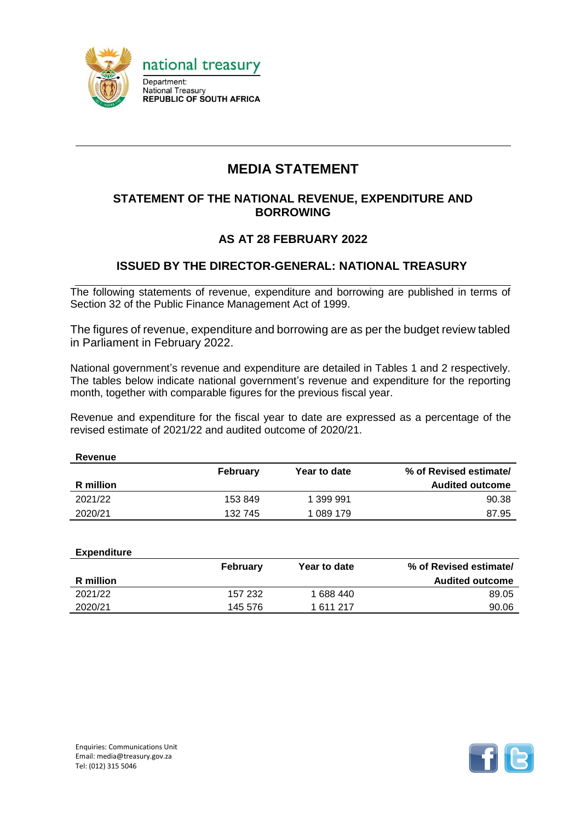

# **MEDIA STATEMENT**

### **STATEMENT OF THE NATIONAL REVENUE, EXPENDITURE AND BORROWING**

## **AS AT 28 FEBRUARY 2022**

### **ISSUED BY THE DIRECTOR-GENERAL: NATIONAL TREASURY**

The following statements of revenue, expenditure and borrowing are published in terms of Section 32 of the Public Finance Management Act of 1999.

The figures of revenue, expenditure and borrowing are as per the budget review tabled in Parliament in February 2022.

National government's revenue and expenditure are detailed in Tables 1 and 2 respectively. The tables below indicate national government's revenue and expenditure for the reporting month, together with comparable figures for the previous fiscal year.

Revenue and expenditure for the fiscal year to date are expressed as a percentage of the revised estimate of 2021/22 and audited outcome of 2020/21.

| Revenue   |          |              |                        |
|-----------|----------|--------------|------------------------|
|           | February | Year to date | % of Revised estimate/ |
| R million |          |              | <b>Audited outcome</b> |
| 2021/22   | 153 849  | 1 399 991    | 90.38                  |
| 2020/21   | 132 745  | 1 089 179    | 87.95                  |

| <b>Expenditure</b> |          |              |                        |
|--------------------|----------|--------------|------------------------|
|                    | February | Year to date | % of Revised estimate/ |
| R million          |          |              | <b>Audited outcome</b> |
| 2021/22            | 157 232  | 1 688 440    | 89.05                  |
| 2020/21            | 145 576  | 1611217      | 90.06                  |